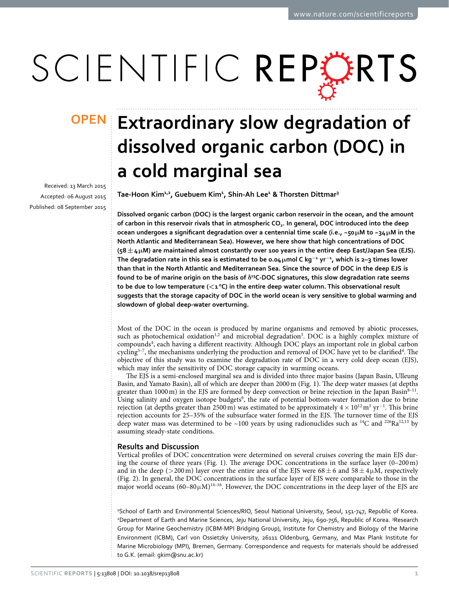# SCIENTIFIC REPERTS

Received: 13 March 2015 accepted: 06 August 2015 Published: 08 September 2015

## **Extraordinary slow degradation of OPENdissolved organic carbon (DOC) in a cold marginal sea**

**Tae-Hoon Kim1,2 , Guebuem Kim1 , Shin-Ah Lee1 & Thorsten Dittmar3**

**Dissolved organic carbon (DOC) is the largest organic carbon reservoir in the ocean, and the amount of carbon in this reservoir rivals that in atmospheric CO2. In general, DOC introduced into the deep ocean undergoes a significant degradation over a centennial time scale (i.e., ~50μM to ~34μM in the North Atlantic and Mediterranean Sea). However, we here show that high concentrations of DOC (58±4μM) are maintained almost constantly over 100 years in the entire deep East/Japan Sea (EJS). The degradation rate in this sea is estimated to be 0.04μmol C kg<sup>−</sup><sup>1</sup> yr<sup>−</sup><sup>1</sup> , which is 2–3 times lower than that in the North Atlantic and Mediterranean Sea. Since the source of DOC in the deep EJS is found to be of marine origin on the basis of δ13C-DOC signatures, this slow degradation rate seems**  to be due to low temperature ( $\lt 1^{\circ}C$ ) in the entire deep water column. This observational result **suggests that the storage capacity of DOC in the world ocean is very sensitive to global warming and slowdown of global deep-water overturning.**

Most of the DOC in the ocean is produced by marine organisms and removed by abiotic processes, such as photochemical oxidation<sup>1,2</sup> and microbial degradation<sup>3</sup>. DOC is a highly complex mixture of compound[s4](#page-4-3) , each having a different reactivity. Although DOC plays an important role in global carbon cycling<sup>5-7</sup>, the mechanisms underlying the production and removal of DOC have yet to be clarified<sup>[4](#page-4-3)</sup>. The objective of this study was to examine the degradation rate of DOC in a very cold deep ocean (EJS), which may infer the sensitivity of DOC storage capacity in warming oceans.

The EJS is a semi-enclosed marginal sea and is divided into three major basins (Japan Basin, Ulleung Basin, and Yamato Basin), all of which are deeper than 2000m ([Fig. 1\)](#page-1-0). The deep water masses (at depths greater than  $1000 \text{ m}$ ) in the EJS are formed by deep convection or brine rejection in the Japan Basin $8-11$ . Using salinity and oxygen isotope budgets<sup>9</sup>, the rate of potential bottom-water formation due to brine rejection (at depths greater than 2500 m) was estimated to be approximately  $4 \times 10^{12}$  m<sup>3</sup> yr<sup>-1</sup>. This brine rejection accounts for 25–35% of the subsurface water formed in the EJS. The turnover time of the EJS deep water mass was determined to be ~100 years by using radionuclides such as <sup>14</sup>C and <sup>226</sup>Ra<sup>12,[13](#page-4-8)</sup> by assuming steady-state conditions.

### **Results and Discussion**

Vertical profiles of DOC concentration were determined on several cruises covering the main EJS during the course of three years [\(Fig. 1](#page-1-0)). The average DOC concentrations in the surface layer (0–200m) and in the deep (>200 m) layer over the entire area of the EJS were  $68 \pm 6$  and  $58 \pm 4 \mu$ M, respectively ([Fig. 2](#page-2-0)). In general, the DOC concentrations in the surface layer of EJS were comparable to those in the major world oceans  $(60-80\mu M)^{14-16}$ . However, the DOC concentrations in the deep layer of the EJS are

1 School of Earth and Environmental Sciences/RIO, Seoul National University, Seoul, 151-747, Republic of Korea. 2 Department of Earth and Marine Sciences, Jeju National University, Jeju, 690-756, Republic of Korea. 3 Research Group for Marine Geochemistry (ICBM-MPI Bridging Group), Institute for Chemistry and Biology of the Marine Environment (ICBM), Carl von Ossietzky University, 26111 Oldenburg, Germany, and Max Plank Institute for Marine Microbiology (MPI), Bremen, Germany. Correspondence and requests for materials should be addressed to G.K. (email: [gkim@snu.ac.kr\)](mailto:gkim@snu.ac.kr)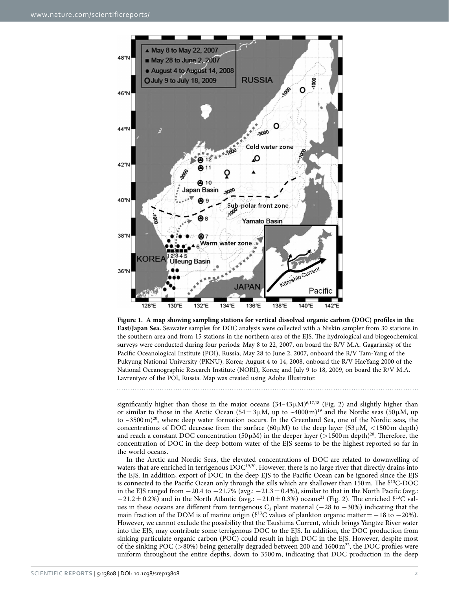

<span id="page-1-0"></span>**Figure 1. A map showing sampling stations for vertical dissolved organic carbon (DOC) profiles in the East/Japan Sea.** Seawater samples for DOC analysis were collected with a Niskin sampler from 30 stations in the southern area and from 15 stations in the northern area of the EJS. The hydrological and biogeochemical surveys were conducted during four periods: May 8 to 22, 2007, on board the R/V M.A. Gagarinsky of the Pacific Oceanological Institute (POI), Russia; May 28 to June 2, 2007, onboard the R/V Tam-Yang of the Pukyung National University (PKNU), Korea; August 4 to 14, 2008, onboard the R/V HaeYang 2000 of the National Oceanographic Research Institute (NORI), Korea; and July 9 to 18, 2009, on board the R/V M.A. Lavrentyev of the POI, Russia. Map was created using Adobe Illustrator.

significantly higher than those in the major oceans  $(34-43 \mu M)^{6,17,18}$  $(34-43 \mu M)^{6,17,18}$  $(34-43 \mu M)^{6,17,18}$  (Fig. 2) and slightly higher than or similar to those in the Arctic Ocean (54 $\pm 3 \mu$ M, up to ~4000 m)<sup>19</sup> and the Nordic seas (50 $\mu$ M, up to  $\sim$ 3500 m)<sup>20</sup>, where deep water formation occurs. In the Greenland Sea, one of the Nordic seas, the concentrations of DOC decrease from the surface (60 $\mu$ M) to the deep layer (53 $\mu$ M, <1500 m depth) and reach a constant DOC concentration (50 $\mu$ M) in the deeper layer (>1500 m depth)<sup>20</sup>. Therefore, the concentration of DOC in the deep bottom water of the EJS seems to be the highest reported so far in the world oceans.

In the Arctic and Nordic Seas, the elevated concentrations of DOC are related to downwelling of waters that are enriched in terrigenous DOC<sup>[19,](#page-4-13)20</sup>. However, there is no large river that directly drains into the EJS. In addition, export of DOC in the deep EJS to the Pacific Ocean can be ignored since the EJS is connected to the Pacific Ocean only through the sills which are shallower than 150m. The  $\delta^{13}$ C-DOC in the EJS ranged from −20.4 to −21.7% (avg.: −21.3± 0.4%), similar to that in the North Pacific (avg.:  $-21.2 \pm 0.2$ %) and in the North Atlantic (avg.:  $-21.0 \pm 0.3$ %) oceans<sup>21</sup> ([Fig. 2](#page-2-0)). The enriched  $\delta^{13}C$  values in these oceans are different from terrigenous C<sub>3</sub> plant material (−28 to −30%) indicating that the main fraction of the DOM is of marine origin ( $\delta^{13}C$  values of plankton organic matter = −18 to −20%). However, we cannot exclude the possibility that the Tsushima Current, which brings Yangtze River water into the EJS, may contribute some terrigenous DOC to the EJS. In addition, the DOC production from sinking particulate organic carbon (POC) could result in high DOC in the EJS. However, despite most of the sinking POC ( $>80\%$ ) being generally degraded between 200 and 1600 m<sup>22</sup>, the DOC profiles were uniform throughout the entire depths, down to 3500m, indicating that DOC production in the deep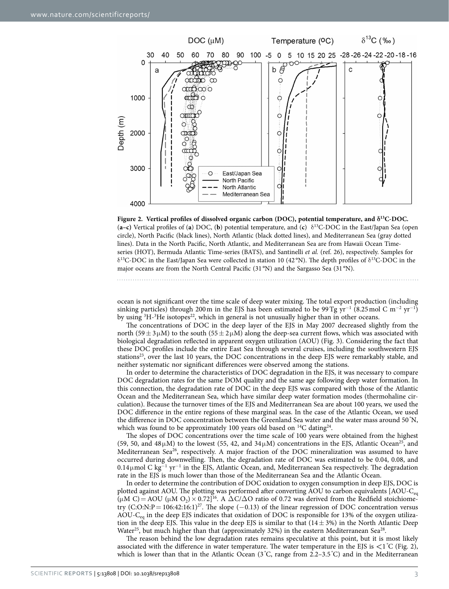

<span id="page-2-0"></span>

ocean is not significant over the time scale of deep water mixing. The total export production (including sinking particles) through 200 m in the EJS has been estimated to be 99 Tg yr<sup>-1</sup> (8.25 mol C m<sup>-2</sup> yr<sup>-1</sup>) by using <sup>3</sup>H-<sup>3</sup>He isotopes<sup>22</sup>, which in general is not unusually higher than in other oceans.

The concentrations of DOC in the deep layer of the EJS in May 2007 decreased slightly from the north (59  $\pm$  3  $\mu$ M) to the south (55  $\pm$  2  $\mu$ M) along the deep-sea current flows, which was associated with biological degradation reflected in apparent oxygen utilization (AOU) [\(Fig. 3\)](#page-3-0). Considering the fact that these DOC profiles include the entire East Sea through several cruises, including the southwestern EJS stations<sup>23</sup>, over the last 10 years, the DOC concentrations in the deep EJS were remarkably stable, and neither systematic nor significant differences were observed among the stations.

In order to determine the characteristics of DOC degradation in the EJS, it was necessary to compare DOC degradation rates for the same DOM quality and the same age following deep water formation. In this connection, the degradation rate of DOC in the deep EJS was compared with those of the Atlantic Ocean and the Mediterranean Sea, which have similar deep water formation modes (thermohaline circulation). Because the turnover times of the EJS and Mediterranean Sea are about 100 years, we used the DOC difference in the entire regions of these marginal seas. In the case of the Atlantic Ocean, we used the difference in DOC concentration between the Greenland Sea water and the water mass around 50 $\degree$ N, which was found to be approximately 100 years old based on  $^{14}C$  dating<sup>24</sup>.

The slopes of DOC concentrations over the time scale of 100 years were obtained from the highest (59, 50, and 48 $\mu$ M) to the lowest (55, 42, and 34 $\mu$ M) concentrations in the EJS, Atlantic Ocean<sup>25</sup>, and Mediterranean Sea<sup>26</sup>, respectively. A major fraction of the DOC mineralization was assumed to have occurred during downwelling. Then, the degradation rate of DOC was estimated to be 0.04, 0.08, and 0.14µmol C kg<sup>-1</sup> yr<sup>-1</sup> in the EJS, Atlantic Ocean, and, Mediterranean Sea respectively. The degradation rate in the EJS is much lower than those of the Mediterranean Sea and the Atlantic Ocean.

In order to determine the contribution of DOC oxidation to oxygen consumption in deep EJS, DOC is plotted against AOU. The plotting was performed after converting AOU to carbon equivalents [AOU-C<sub>eq</sub>  $(\mu M C) = AOU (\mu M O_2) \times 0.72]^{16}$ . A  $\Delta C/\Delta O$  ratio of 0.72 was derived from the Redfield stoichiometry  $(C:\text{O:N:P} = 106:42:16:1)^{27}$ . The slope (-0.13) of the linear regression of DOC concentration versus AOU-Ceq in the deep EJS indicates that oxidation of DOC is responsible for 13% of the oxygen utilization in the deep EJS. This value in the deep EJS is similar to that  $(14 \pm 3\%)$  in the North Atlantic Deep Water<sup>25</sup>, but much higher than that (approximately 32%) in the eastern Mediterranean Sea<sup>[28](#page-5-8)</sup>.

The reason behind the low degradation rates remains speculative at this point, but it is most likely associated with the difference in water temperature. The water temperature in the EJS is  $\lt 1$ °C ([Fig. 2](#page-2-0)), which is lower than that in the Atlantic Ocean (3°C, range from 2.2–3.5°C) and in the Mediterranean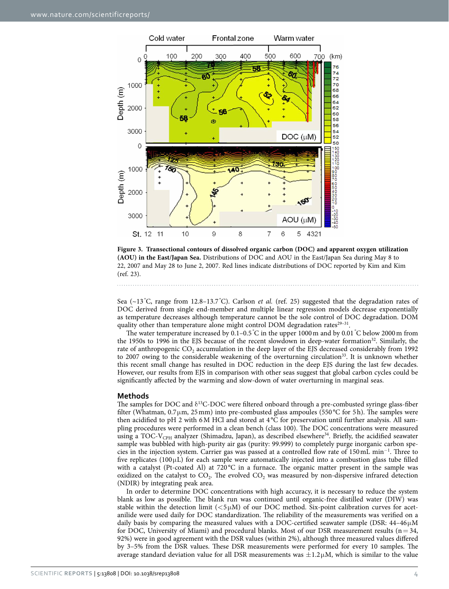

<span id="page-3-0"></span>**Figure 3. Transectional contours of dissolved organic carbon (DOC) and apparent oxygen utilization (AOU) in the East/Japan Sea.** Distributions of DOC and AOU in the East/Japan Sea during May 8 to 22, 2007 and May 28 to June 2, 2007. Red lines indicate distributions of DOC reported by Kim and Kim ([ref. 23\)](#page-5-3).

Sea (~13 °C, range from 12.8-13.7 °C). Carlson *et al.* (ref. 25) suggested that the degradation rates of DOC derived from single end-member and multiple linear regression models decrease exponentially as temperature decreases although temperature cannot be the sole control of DOC degradation. DOM quality other than temperature alone might control DOM degradation rates<sup>29-31</sup>.

The water temperature increased by  $0.1-0.5\degree$ C in the upper  $1000\,\text{m}$  and by  $0.01\degree$ C below 2000 m from the 1950s to 1996 in the EJS because of the recent slowdown in deep-water formation<sup>[32](#page-5-10)</sup>. Similarly, the rate of anthropogenic  $CO<sub>2</sub>$  accumulation in the deep layer of the EJS decreased considerably from 1992 to 2007 owing to the considerable weakening of the overturning circulation<sup>33</sup>. It is unknown whether this recent small change has resulted in DOC reduction in the deep EJS during the last few decades. However, our results from EJS in comparison with other seas suggest that global carbon cycles could be significantly affected by the warming and slow-down of water overturning in marginal seas.

#### **Methods**

The samples for DOC and  $\delta^{13}$ C-DOC were filtered onboard through a pre-combusted syringe glass-fiber filter (Whatman,  $0.7 \mu m$ , 25 mm) into pre-combusted glass ampoules (550 °C for 5h). The samples were then acidified to pH 2 with 6M HCl and stored at 4 °C for preservation until further analysis. All sampling procedures were performed in a clean bench (class 100). The DOC concentrations were measured using a TOC-V<sub>CPH</sub> analyzer (Shimadzu, Japan), as described elsewhere<sup>34</sup>. Briefly, the acidified seawater sample was bubbled with high-purity air gas (purity: 99.999) to completely purge inorganic carbon species in the injection system. Carrier gas was passed at a controlled flow rate of 150mL min<sup>−</sup><sup>1</sup> . Three to five replicates ( $100 \mu L$ ) for each sample were automatically injected into a combustion glass tube filled with a catalyst (Pt-coated Al) at 720°C in a furnace. The organic matter present in the sample was oxidized on the catalyst to  $CO<sub>2</sub>$ . The evolved  $CO<sub>2</sub>$  was measured by non-dispersive infrared detection (NDIR) by integrating peak area.

In order to determine DOC concentrations with high accuracy, it is necessary to reduce the system blank as low as possible. The blank run was continued until organic-free distilled water (DIW) was stable within the detection limit  $(<5\mu M)$  of our DOC method. Six-point calibration curves for acetanilide were used daily for DOC standardization. The reliability of the measurements was verified on a daily basis by comparing the measured values with a DOC-certified seawater sample (DSR: 44–46μM for DOC, University of Miami) and procedural blanks. Most of our DSR measurement results ( $n=34$ , 92%) were in good agreement with the DSR values (within 2%), although three measured values differed by 3–5% from the DSR values. These DSR measurements were performed for every 10 samples. The average standard deviation value for all DSR measurements was  $\pm 1.2\mu$ M, which is similar to the value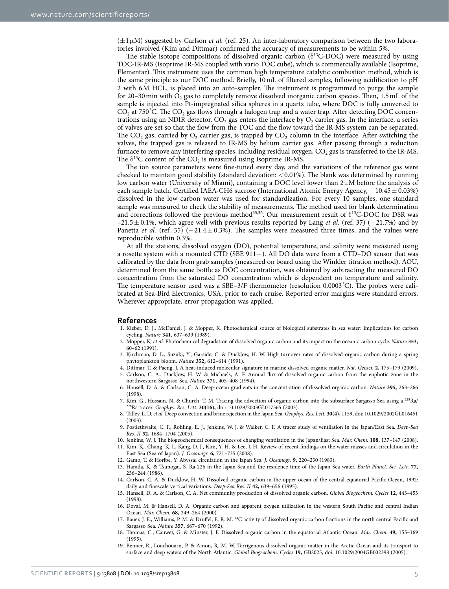$(\pm 1\,\mu\text{M})$  suggested by Carlson *et al.* ([ref. 25](#page-5-5)). An inter-laboratory comparison between the two laboratories involved (Kim and Dittmar) confirmed the accuracy of measurements to be within 5%.

The stable isotope compositions of dissolved organic carbon ( $\delta^{13}$ C-DOC) were measured by using TOC-IR-MS (Isoprime IR-MS coupled with vario TOC cube), which is commercially available (Isoprime, Elementar). This instrument uses the common high temperature catalytic combustion method, which is the same principle as our DOC method. Briefly, 10mL of filtered samples, following acidification to pH 2 with 6M HCL, is placed into an auto-sampler. The instrument is programmed to purge the sample for 20–30 min with  $O_2$  gas to completely remove dissolved inorganic carbon species. Then, 1.5 mL of the sample is injected into Pt-impregnated silica spheres in a quartz tube, where DOC is fully converted to  $\text{CO}_2$  at 750 °C. The  $\text{CO}_2$  gas flows through a halogen trap and a water trap. After detecting DOC concentrations using an NDIR detector,  $CO<sub>2</sub>$  gas enters the interface by  $O<sub>2</sub>$  carrier gas. In the interface, a series of valves are set so that the flow from the TOC and the flow toward the IR-MS system can be separated. The CO<sub>2</sub> gas, carried by  $O_2$  carrier gas, is trapped by CO<sub>2</sub> column in the interface. After switching the valves, the trapped gas is released to IR-MS by helium carrier gas. After passing through a reduction furnace to remove any interfering species, including residual oxygen, CO<sub>2</sub> gas is transferred to the IR-MS. The  $\delta^{13}$ C content of the CO<sub>2</sub> is measured using Isoprime IR-MS.

The ion source parameters were fine-tuned every day, and the variations of the reference gas were checked to maintain good stability (standard deviation:  $\leq 0.01\%$ ). The blank was determined by running low carbon water (University of Miami), containing a DOC level lower than 2μM before the analysis of each sample batch. Certified IAEA-CH6 sucrose (International Atomic Energy Agency, −10.45 ± 0.03%) dissolved in the low carbon water was used for standardization. For every 10 samples, one standard sample was measured to check the stability of measurements. The method used for blank determination and corrections followed the previous method<sup>35[,36](#page-5-14)</sup>. Our measurement result of  $\delta^{13}$ C-DOC for DSR was –21.5± 0.1%, which agree well with previous results reported by Lang *et al.* ([ref. 37](#page-5-15)) (−21.7%) and by Panetta *et al.* (ref. 35) (−21.4±0.3%). The samples were measured three times, and the values were reproducible within 0.3%.

At all the stations, dissolved oxygen (DO), potential temperature, and salinity were measured using a rosette system with a mounted CTD (SBE 911+). All DO data were from a CTD–DO sensor that was calibrated by the data from grab samples (measured on board using the Winkler titration method). AOU, determined from the same bottle as DOC concentration, was obtained by subtracting the measured DO concentration from the saturated DO concentration which is dependent on temperature and salinity. The temperature sensor used was a SBE–3/F thermometer (resolution 0.0003 ° C). The probes were calibrated at Sea-Bird Electronics, USA, prior to each cruise. Reported error margins were standard errors. Wherever appropriate, error propagation was applied.

#### **References**

- <span id="page-4-0"></span>1. Kieber, D. J., McDaniel, J. & Mopper, K. Photochemical source of biological substrates in sea water: implications for carbon cycling. *Nature* **341,** 637–639 (1989).
- <span id="page-4-1"></span>2. Mopper, K. *et al.* Photochemical degradation of dissolved organic carbon and its impact on the oceanic carbon cycle. *Nature* **353,** 60–62 (1991).
- <span id="page-4-2"></span>3. Kirchman, D. L., Suzuki, Y., Garside, C. & Ducklow, H. W. High turnover rates of dissolved organic carbon during a spring phytoplankton bloom. *Nature* **352,** 612–614 (1991).
- <span id="page-4-3"></span>4. Dittmar, T. & Paeng, J. A heat-induced molecular signature in marine dissolved organic matter. *Nat. Geosci*. **2,** 175–179 (2009). 5. Carlson, C. A., Ducklow, H. W. & Michaels, A. F. Annual flux of dissolved organic carbon from the euphotic zone in the
- <span id="page-4-4"></span>northwestern Sargasso Sea. *Nature* **371,** 405–408 (1994).
- <span id="page-4-10"></span>6. Hansell, D. A. & Carlson, C. A. Deep-ocean gradients in the concentration of dissolved organic carbon. *Nature* **395,** 263–266 (1998).
- 7. Kim, G., Hussain, N. & Church, T. M. Tracing the advection of organic carbon into the subsurface Sargasso Sea using a 228Ra/ 226Ra tracer. *Geophys. Res. Lett*. **30(16),** doi: 10.1029/2003GL017565 (2003).
- <span id="page-4-5"></span>8. Talley, L. D. *et al.* Deep convection and brine rejection in the Japan Sea. *Geophys. Res. Lett.* **30(4),** 1159, doi: 10.1029/2002GL016451 (2003).
- <span id="page-4-6"></span>9. Postlethwaite, C. F., Rohling, E. J., Jenkins, W. J. & Walker, C. F. A tracer study of ventilation in the Japan/East Sea. *Deep-Sea Res. ІІ* **52,** 1684–1704 (2005).
- 10. Jenkins, W. J. The biogeochemical consequences of changing ventilation in the Japan/East Sea. *Mar. Chem.* **108,** 137–147 (2008). 11. Kim, K., Chang, K. I., Kang, D. J., Kim, Y. H. & Lee, J. H. Review of recent findings on the water masses and circulation in the
	- East Sea (Sea of Japan). *J. Oceanogr.* **6,** 721–735 (2008).
- <span id="page-4-8"></span><span id="page-4-7"></span>12. Gamo, T. & Horibe, Y. Abyssal circulation in the Japan Sea. *J. Oceanogr.* **9,** 220–230 (1983).
- 13. Harada, K. & Tsunogai, S. Ra-226 in the Japan Sea and the residence time of the Japan Sea water. *Earth Planet. Sci. Lett.* **77,** 236–244 (1986).
- <span id="page-4-9"></span>14. Carlson, C. A. & Ducklow, H. W. Dissolved organic carbon in the upper ocean of the central equatorial Pacific Ocean, 1992: daily and finescale vertical variations. *Deep-Sea Res. ІІ* **42,** 639–656 (1995).
- 15. Hansell, D. A. & Carlson, C. A. Net community production of dissolved organic carbon. *Global Biogeochem. Cycles* **12,** 443–453 (1998).
- <span id="page-4-14"></span>16. Doval, M. & Hansell, D. A. Organic carbon and apparent oxygen utilization in the western South Pacific and central Indian Ocean. *Mar. Chem*. **68,** 249–264 (2000).
- <span id="page-4-11"></span>17. Bauer, J. E., Williams, P. M. & Druffel, E. R. M. 14C activity of dissolved organic carbon fractions in the north central Pacific and Sargasso Sea. *Nature* **357,** 667–670 (1992).
- <span id="page-4-12"></span>18. Thomas, C., Cauwet, G. & Minster, J. F. Dissolved organic carbon in the equatorial Atlantic Ocean. *Mar. Chem.* **49,** 155–169 (1995).
- <span id="page-4-13"></span>19. Benner, R., Louchouarn, P. & Amon, R. M. W. Terrigenous dissolved organic matter in the Arctic Ocean and its transport to surface and deep waters of the North Atlantic. *Global Biogeochem. Cycles* **19,** GB2025, doi: 10.1029/2004GB002398 (2005).